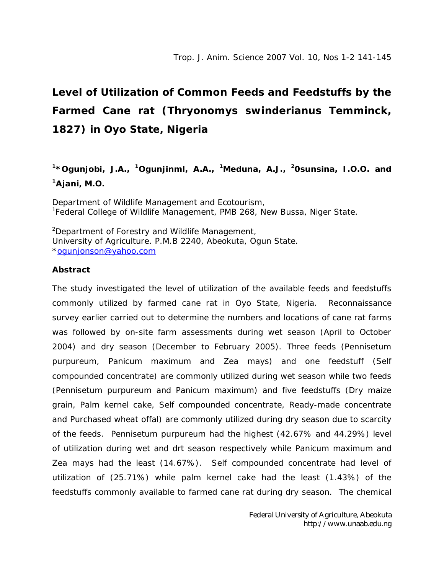## **Level of Utilization of Common Feeds and Feedstuffs by the Farmed Cane rat (Thryonomys swinderianus Temminck, 1827) in Oyo State, Nigeria**

## **<sup>1</sup>\*Ogunjobi, J.A., <sup>1</sup>Ogunjinml, A.A., <sup>1</sup>Meduna, A.J., <sup>2</sup>0sunsina, I.O.O. and <sup>1</sup>Ajani, M.O.**

Department of Wildlife Management and Ecotourism, <sup>1</sup>Federal College of Wildlife Management, PMB 268, New Bussa, Niger State.

<sup>2</sup>Department of Forestry and Wildlife Management, University of Agriculture. P.M.B 2240, Abeokuta, Ogun State. \*ogunjonson@yahoo.com

## **Abstract**

The study investigated the level of utilization of the available feeds and feedstuffs commonly utilized by farmed cane rat in Oyo State, Nigeria. Reconnaissance survey earlier carried out to determine the numbers and locations of cane rat farms was followed by on-site farm assessments during wet season (April to October 2004) and dry season (December to February 2005). Three feeds (Pennisetum purpureum, Panicum maximum and Zea mays) and one feedstuff (Self compounded concentrate) are commonly utilized during wet season while two feeds (Pennisetum purpureum and Panicum maximum) and five feedstuffs (Dry maize grain, Palm kernel cake, Self compounded concentrate, Ready-made concentrate and Purchased wheat offal) are commonly utilized during dry season due to scarcity of the feeds. Pennisetum purpureum had the highest (42.67% and 44.29%) level of utilization during wet and drt season respectively while Panicum maximum and Zea mays had the least (14.67%). Self compounded concentrate had level of utilization of (25.71%) while palm kernel cake had the least (1.43%) of the feedstuffs commonly available to farmed cane rat during dry season. The chemical

> Federal University of Agriculture, Abeokuta http://www.unaab.edu.ng